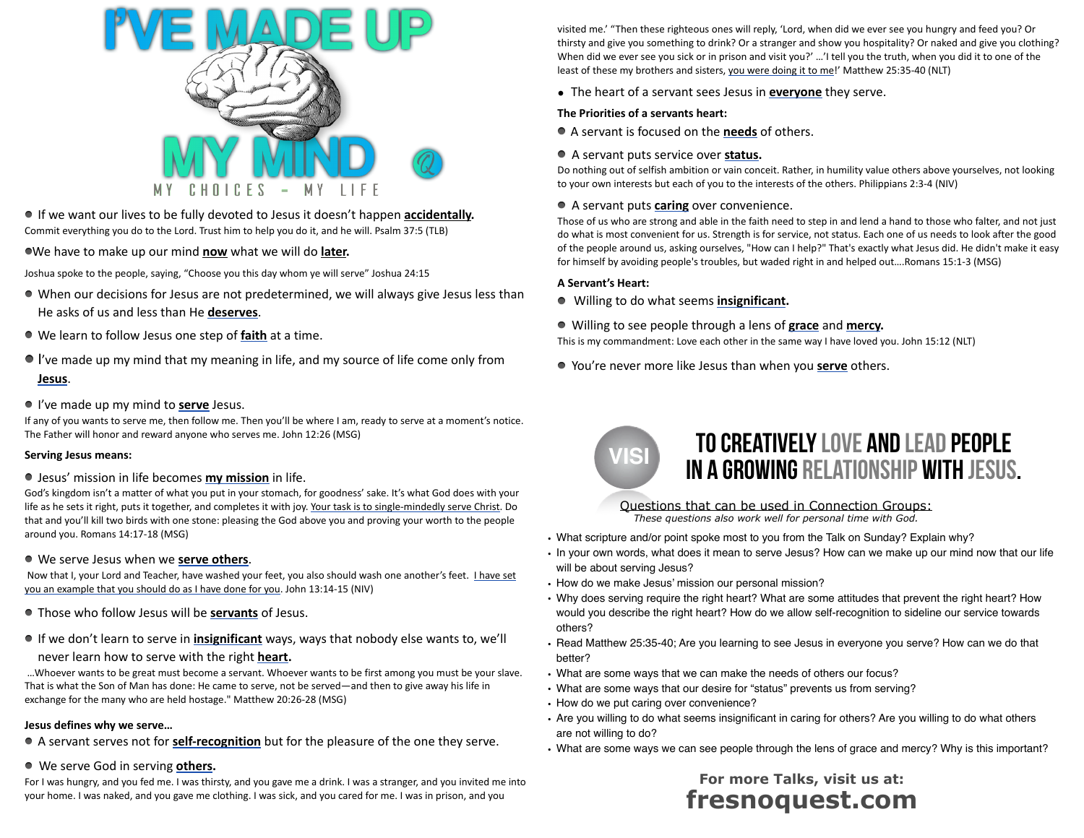

If we want our lives to be fully devoted to Jesus it doesn't happen **accidentally.** Commit everything you do to the Lord. Trust him to help you do it, and he will. Psalm 37:5 (TLB)

We have to make up our mind **now** what we will do **later.**

Joshua spoke to the people, saying, "Choose you this day whom ye will serve" Joshua 24:15

- When our decisions for Jesus are not predetermined, we will always give Jesus less than He asks of us and less than He **deserves**.
- We learn to follow Jesus one step of **faith** at a time.
- I've made up my mind that my meaning in life, and my source of life come only from **Jesus**.
- I've made up my mind to **serve** Jesus.

If any of you wants to serve me, then follow me. Then you'll be where I am, ready to serve at a moment's notice. The Father will honor and reward anyone who serves me. John 12:26 (MSG)

#### **Serving Jesus means:**

Jesus' mission in life becomes **my mission** in life.

God's kingdom isn't a matter of what you put in your stomach, for goodness' sake. It's what God does with your life as he sets it right, puts it together, and completes it with joy. Your task is to single-mindedly serve Christ. Do that and you'll kill two birds with one stone: pleasing the God above you and proving your worth to the people around you. Romans 14:17-18 (MSG)

#### We serve Jesus when we **serve others**.

 Now that I, your Lord and Teacher, have washed your feet, you also should wash one another's feet. I have set you an example that you should do as I have done for you. John 13:14-15 (NIV)

- Those who follow Jesus will be **servants** of Jesus.
- If we don't learn to serve in **insignificant** ways, ways that nobody else wants to, we'll never learn how to serve with the right **heart.**

 …Whoever wants to be great must become a servant. Whoever wants to be first among you must be your slave. That is what the Son of Man has done: He came to serve, not be served—and then to give away his life in exchange for the many who are held hostage." Matthew 20:26-28 (MSG)

#### **Jesus defines why we serve…**

A servant serves not for **self-recognition** but for the pleasure of the one they serve.

#### We serve God in serving **others.**

For I was hungry, and you fed me. I was thirsty, and you gave me a drink. I was a stranger, and you invited me into your home. I was naked, and you gave me clothing. I was sick, and you cared for me. I was in prison, and you

visited me.' "Then these righteous ones will reply, 'Lord, when did we ever see you hungry and feed you? Or thirsty and give you something to drink? Or a stranger and show you hospitality? Or naked and give you clothing? When did we ever see you sick or in prison and visit you?' ...'I tell you the truth, when you did it to one of the least of these my brothers and sisters, you were doing it to me!' Matthew 25:35-40 (NLT)

**•** The heart of a servant sees Jesus in **everyone** they serve.

#### **The Priorities of a servants heart:**

- A servant is focused on the **needs** of others.
- A servant puts service over **status.**

Do nothing out of selfish ambition or vain conceit. Rather, in humility value others above yourselves, not looking to your own interests but each of you to the interests of the others. Philippians 2:3-4 (NIV)

#### A servant puts **caring** over convenience.

Those of us who are strong and able in the faith need to step in and lend a hand to those who falter, and not just do what is most convenient for us. Strength is for service, not status. Each one of us needs to look after the good of the people around us, asking ourselves, "How can I help?" That's exactly what Jesus did. He didn't make it easy for himself by avoiding people's troubles, but waded right in and helped out….Romans 15:1-3 (MSG)

#### **A Servant's Heart:**

- Willing to do what seems **insignificant.**
- Willing to see people through a lens of **grace** and **mercy.**

This is my commandment: Love each other in the same way I have loved you. John 15:12 (NLT)

You're never more like Jesus than when you **serve** others.



## TO CREATIVELY LOVE AND LEAD PEOPLE in a growing relationship with Jesus.

Questions that can be used in Connection Groups: *These questions also work well for personal time with God.*

- What scripture and/or point spoke most to you from the Talk on Sunday? Explain why?
- In your own words, what does it mean to serve Jesus? How can we make up our mind now that our life will be about serving Jesus?
- How do we make Jesus' mission our personal mission?
- Why does serving require the right heart? What are some attitudes that prevent the right heart? How would you describe the right heart? How do we allow self-recognition to sideline our service towards others?
- Read Matthew 25:35-40; Are you learning to see Jesus in everyone you serve? How can we do that better?
- What are some ways that we can make the needs of others our focus?
- What are some ways that our desire for "status" prevents us from serving?
- How do we put caring over convenience?
- Are you willing to do what seems insignificant in caring for others? Are you willing to do what others are not willing to do?
- What are some ways we can see people through the lens of grace and mercy? Why is this important?

### **For more Talks, visit us at: fresnoquest.com**